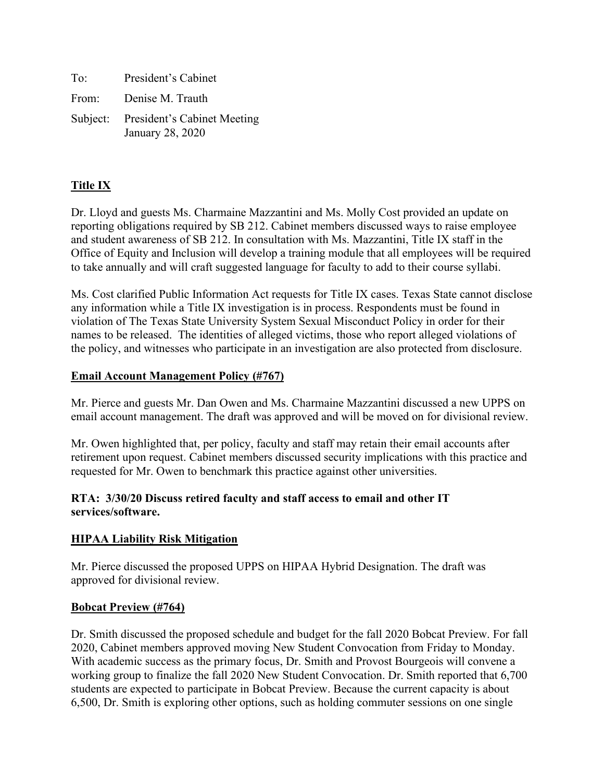| To: | President's Cabinet                                      |
|-----|----------------------------------------------------------|
|     | From: Denise M. Trauth                                   |
|     | Subject: President's Cabinet Meeting<br>January 28, 2020 |

# **Title IX**

Dr. Lloyd and guests Ms. Charmaine Mazzantini and Ms. Molly Cost provided an update on reporting obligations required by SB 212. Cabinet members discussed ways to raise employee and student awareness of SB 212. In consultation with Ms. Mazzantini, Title IX staff in the Office of Equity and Inclusion will develop a training module that all employees will be required to take annually and will craft suggested language for faculty to add to their course syllabi.

Ms. Cost clarified Public Information Act requests for Title IX cases. Texas State cannot disclose any information while a Title IX investigation is in process. Respondents must be found in violation of The Texas State University System Sexual Misconduct Policy in order for their names to be released. The identities of alleged victims, those who report alleged violations of the policy, and witnesses who participate in an investigation are also protected from disclosure.

## **Email Account Management Policy (#767)**

Mr. Pierce and guests Mr. Dan Owen and Ms. Charmaine Mazzantini discussed a new UPPS on email account management. The draft was approved and will be moved on for divisional review.

Mr. Owen highlighted that, per policy, faculty and staff may retain their email accounts after retirement upon request. Cabinet members discussed security implications with this practice and requested for Mr. Owen to benchmark this practice against other universities.

## **RTA: 3/30/20 Discuss retired faculty and staff access to email and other IT services/software.**

# **HIPAA Liability Risk Mitigation**

Mr. Pierce discussed the proposed UPPS on HIPAA Hybrid Designation. The draft was approved for divisional review.

#### **Bobcat Preview (#764)**

Dr. Smith discussed the proposed schedule and budget for the fall 2020 Bobcat Preview. For fall 2020, Cabinet members approved moving New Student Convocation from Friday to Monday. With academic success as the primary focus, Dr. Smith and Provost Bourgeois will convene a working group to finalize the fall 2020 New Student Convocation. Dr. Smith reported that 6,700 students are expected to participate in Bobcat Preview. Because the current capacity is about 6,500, Dr. Smith is exploring other options, such as holding commuter sessions on one single